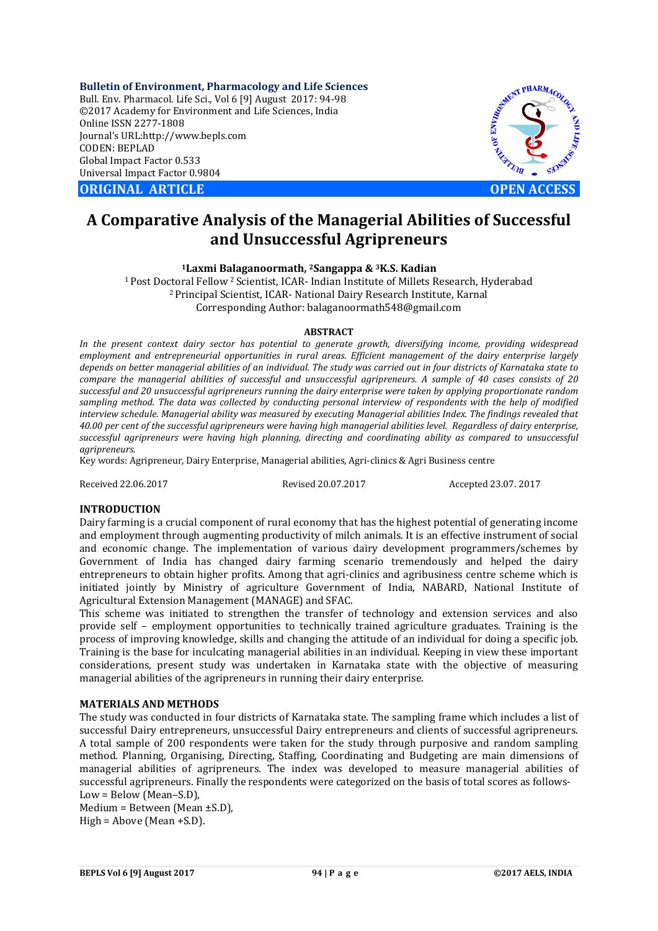**Bulletin of Environment, Pharmacology and Life Sciences** Bull. Env. Pharmacol. Life Sci., Vol 6 [9] August 2017: 94-98 ©2017 Academy for Environment and Life Sciences, India Online ISSN 2277-1808 Journal's URL:http://www.bepls.com CODEN: BEPLAD Global Impact Factor 0.533 Universal Impact Factor 0.9804

**CORIGINAL ARTICLE CONSUMING ARTICLE CONSUMING A REPORT OF A LIGHT AND A REPORT OF A LIGHT AND A LIGHT AND A LIGHT AND A LIGHT AND A LIGHT AND A LIGHT AND A LIGHT AND A LIGHT AND A LIGHT AND A LIGHT AND A LIGHT AND A L** 



# **A Comparative Analysis of the Managerial Abilities of Successful and Unsuccessful Agripreneurs**

**1Laxmi Balaganoormath, 2Sangappa & 3K.S. Kadian**

1 Post Doctoral Fellow 2 Scientist, ICAR- Indian Institute of Millets Research, Hyderabad 2 Principal Scientist, ICAR- National Dairy Research Institute, Karnal Corresponding Author: balaganoormath548@gmail.com

### **ABSTRACT**

*In the present context dairy sector has potential to generate growth, diversifying income, providing widespread employment and entrepreneurial opportunities in rural areas. Efficient management of the dairy enterprise largely depends on better managerial abilities of an individual. The study was carried out in four districts of Karnataka state to compare the managerial abilities of successful and unsuccessful agripreneurs. A sample of 40 cases consists of 20 successful and 20 unsuccessful agripreneurs running the dairy enterprise were taken by applying proportionate random sampling method. The data was collected by conducting personal interview of respondents with the help of modified interview schedule. Managerial ability was measured by executing Managerial abilities Index. The findings revealed that 40.00 per cent of the successful agripreneurs were having high managerial abilities level. Regardless of dairy enterprise, successful agripreneurs were having high planning, directing and coordinating ability as compared to unsuccessful agripreneurs.* 

Key words: Agripreneur, Dairy Enterprise, Managerial abilities, Agri-clinics & Agri Business centre

Received 22.06.2017 Revised 20.07.2017 Accepted 23.07. 2017

## **INTRODUCTION**

Dairy farming is a crucial component of rural economy that has the highest potential of generating income and employment through augmenting productivity of milch animals. It is an effective instrument of social and economic change. The implementation of various dairy development programmers/schemes by Government of India has changed dairy farming scenario tremendously and helped the dairy entrepreneurs to obtain higher profits. Among that agri-clinics and agribusiness centre scheme which is initiated jointly by Ministry of agriculture Government of India, NABARD, National Institute of Agricultural Extension Management (MANAGE) and SFAC.

This scheme was initiated to strengthen the transfer of technology and extension services and also provide self – employment opportunities to technically trained agriculture graduates. Training is the process of improving knowledge, skills and changing the attitude of an individual for doing a specific job. Training is the base for inculcating managerial abilities in an individual. Keeping in view these important considerations, present study was undertaken in Karnataka state with the objective of measuring managerial abilities of the agripreneurs in running their dairy enterprise.

### **MATERIALS AND METHODS**

The study was conducted in four districts of Karnataka state. The sampling frame which includes a list of successful Dairy entrepreneurs, unsuccessful Dairy entrepreneurs and clients of successful agripreneurs. A total sample of 200 respondents were taken for the study through purposive and random sampling method. Planning, Organising, Directing, Staffing, Coordinating and Budgeting are main dimensions of managerial abilities of agripreneurs. The index was developed to measure managerial abilities of successful agripreneurs. Finally the respondents were categorized on the basis of total scores as follows-Low = Below (Mean–S.D),

Medium = Between (Mean ±S.D),  $High = Above (Mean + S.D).$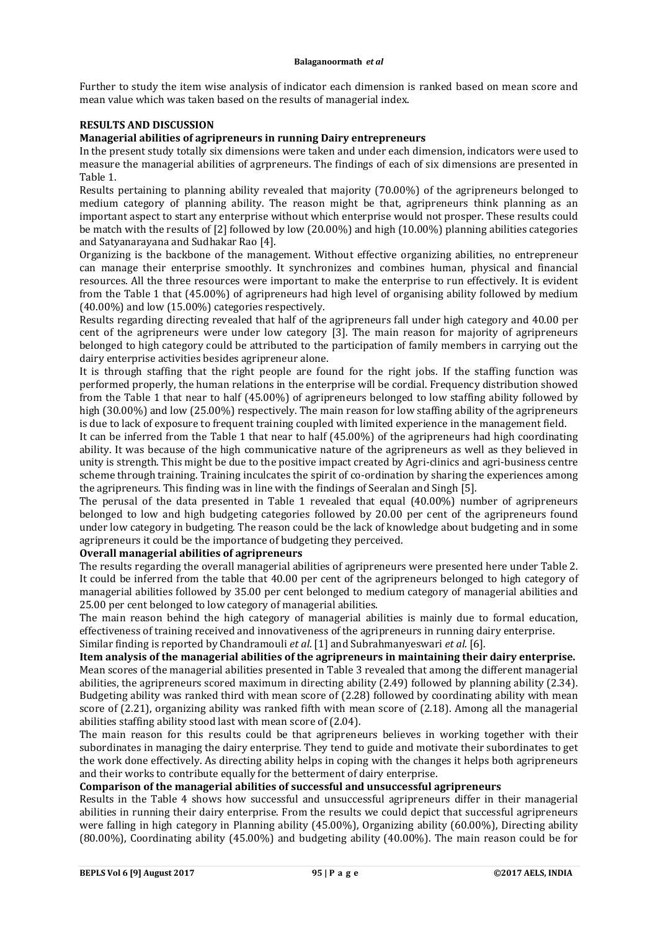Further to study the item wise analysis of indicator each dimension is ranked based on mean score and mean value which was taken based on the results of managerial index.

## **RESULTS AND DISCUSSION**

### **Managerial abilities of agripreneurs in running Dairy entrepreneurs**

In the present study totally six dimensions were taken and under each dimension, indicators were used to measure the managerial abilities of agrpreneurs. The findings of each of six dimensions are presented in Table 1.

Results pertaining to planning ability revealed that majority (70.00%) of the agripreneurs belonged to medium category of planning ability. The reason might be that, agripreneurs think planning as an important aspect to start any enterprise without which enterprise would not prosper. These results could be match with the results of [2] followed by low (20.00%) and high (10.00%) planning abilities categories and Satyanarayana and Sudhakar Rao [4].

Organizing is the backbone of the management. Without effective organizing abilities, no entrepreneur can manage their enterprise smoothly. It synchronizes and combines human, physical and financial resources. All the three resources were important to make the enterprise to run effectively. It is evident from the Table 1 that (45.00%) of agripreneurs had high level of organising ability followed by medium (40.00%) and low (15.00%) categories respectively.

Results regarding directing revealed that half of the agripreneurs fall under high category and 40.00 per cent of the agripreneurs were under low category [3]. The main reason for majority of agripreneurs belonged to high category could be attributed to the participation of family members in carrying out the dairy enterprise activities besides agripreneur alone.

It is through staffing that the right people are found for the right jobs. If the staffing function was performed properly, the human relations in the enterprise will be cordial. Frequency distribution showed from the Table 1 that near to half (45.00%) of agripreneurs belonged to low staffing ability followed by high (30.00%) and low (25.00%) respectively. The main reason for low staffing ability of the agripreneurs is due to lack of exposure to frequent training coupled with limited experience in the management field.

It can be inferred from the Table 1 that near to half (45.00%) of the agripreneurs had high coordinating ability. It was because of the high communicative nature of the agripreneurs as well as they believed in unity is strength. This might be due to the positive impact created by Agri-clinics and agri-business centre scheme through training. Training inculcates the spirit of co-ordination by sharing the experiences among the agripreneurs. This finding was in line with the findings of Seeralan and Singh [5].

The perusal of the data presented in Table 1 revealed that equal (40.00%) number of agripreneurs belonged to low and high budgeting categories followed by 20.00 per cent of the agripreneurs found under low category in budgeting. The reason could be the lack of knowledge about budgeting and in some agripreneurs it could be the importance of budgeting they perceived.

## **Overall managerial abilities of agripreneurs**

The results regarding the overall managerial abilities of agripreneurs were presented here under Table 2. It could be inferred from the table that 40.00 per cent of the agripreneurs belonged to high category of managerial abilities followed by 35.00 per cent belonged to medium category of managerial abilities and 25.00 per cent belonged to low category of managerial abilities.

The main reason behind the high category of managerial abilities is mainly due to formal education, effectiveness of training received and innovativeness of the agripreneurs in running dairy enterprise. Similar finding is reported by Chandramouli *et al*. [1] and Subrahmanyeswari *et al*. [6].

**Item analysis of the managerial abilities of the agripreneurs in maintaining their dairy enterprise.**  Mean scores of the managerial abilities presented in Table 3 revealed that among the different managerial abilities, the agripreneurs scored maximum in directing ability (2.49) followed by planning ability (2.34). Budgeting ability was ranked third with mean score of (2.28) followed by coordinating ability with mean score of (2.21), organizing ability was ranked fifth with mean score of (2.18). Among all the managerial abilities staffing ability stood last with mean score of (2.04).

The main reason for this results could be that agripreneurs believes in working together with their subordinates in managing the dairy enterprise. They tend to guide and motivate their subordinates to get the work done effectively. As directing ability helps in coping with the changes it helps both agripreneurs and their works to contribute equally for the betterment of dairy enterprise.

# **Comparison of the managerial abilities of successful and unsuccessful agripreneurs**

Results in the Table 4 shows how successful and unsuccessful agripreneurs differ in their managerial abilities in running their dairy enterprise. From the results we could depict that successful agripreneurs were falling in high category in Planning ability (45.00%), Organizing ability (60.00%), Directing ability (80.00%), Coordinating ability (45.00%) and budgeting ability (40.00%). The main reason could be for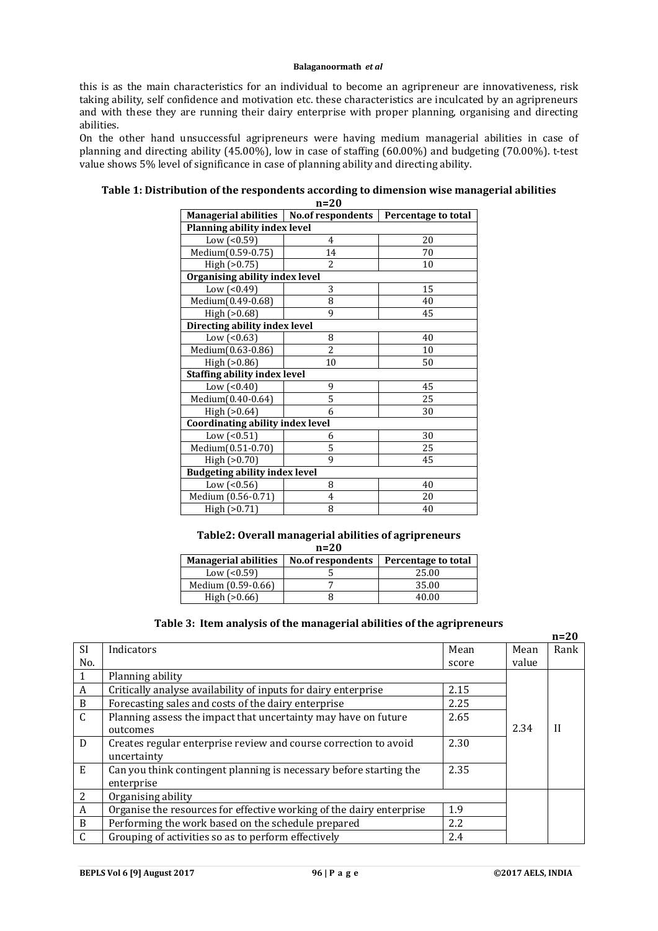this is as the main characteristics for an individual to become an agripreneur are innovativeness, risk taking ability, self confidence and motivation etc. these characteristics are inculcated by an agripreneurs and with these they are running their dairy enterprise with proper planning, organising and directing abilities.

On the other hand unsuccessful agripreneurs were having medium managerial abilities in case of planning and directing ability (45.00%), low in case of staffing (60.00%) and budgeting (70.00%). t-test value shows 5% level of significance in case of planning ability and directing ability.

| Managerial abilities   No. of respondents   Percentage to total |                |    |  |  |
|-----------------------------------------------------------------|----------------|----|--|--|
| Planning ability index level                                    |                |    |  |  |
| Low $($ < $0.59)$                                               | 4              | 20 |  |  |
| Medium(0.59-0.75)                                               | 14             | 70 |  |  |
| High (>0.75)                                                    | $\overline{c}$ | 10 |  |  |
| Organising ability index level                                  |                |    |  |  |
| Low $($ < 0.49 $)$                                              | 3              | 15 |  |  |
| Medium(0.49-0.68)                                               | 8              | 40 |  |  |
| High (>0.68)                                                    | 9              | 45 |  |  |
| Directing ability index level                                   |                |    |  |  |
| Low $($ < $0.63)$                                               | 8              | 40 |  |  |
| Medium(0.63-0.86)                                               | $\overline{c}$ | 10 |  |  |
| High $(>0.86)$                                                  | 10             | 50 |  |  |
| <b>Staffing ability index level</b>                             |                |    |  |  |
| Low $($ < $0.40)$                                               | 9              | 45 |  |  |
| Medium(0.40-0.64)                                               | 5              | 25 |  |  |
| High $(>0.64)$                                                  | 6              | 30 |  |  |
| <b>Coordinating ability index level</b>                         |                |    |  |  |
| Low $($ < 0.51)                                                 | 6              | 30 |  |  |
| Medium(0.51-0.70)                                               | 5              | 25 |  |  |
| High (>0.70)                                                    | 9              | 45 |  |  |
| <b>Budgeting ability index level</b>                            |                |    |  |  |
| Low $($ <0.56)                                                  | 8              | 40 |  |  |
| Medium (0.56-0.71)                                              | 4              | 20 |  |  |
| High (>0.71)                                                    | 8              | 40 |  |  |

#### **Table 1: Distribution of the respondents according to dimension wise managerial abilities n=20**

#### **Table2: Overall managerial abilities of agripreneurs n=20**

| $H - L$                     |                          |                     |  |  |
|-----------------------------|--------------------------|---------------------|--|--|
| <b>Managerial abilities</b> | <b>No.of respondents</b> | Percentage to total |  |  |
| Low $(0.59)$                |                          | 25.00               |  |  |
| Medium (0.59-0.66)          |                          | 35.00               |  |  |
| High $(>0.66)$              |                          | 40.00               |  |  |

# **Table 3: Item analysis of the managerial abilities of the agripreneurs**

|              |                                                                      |       |       | $n=20$       |
|--------------|----------------------------------------------------------------------|-------|-------|--------------|
| <b>SI</b>    | Indicators                                                           | Mean  | Mean  | Rank         |
| No.          |                                                                      | score | value |              |
|              | Planning ability                                                     |       |       |              |
| A            | Critically analyse availability of inputs for dairy enterprise       | 2.15  |       |              |
| B            | Forecasting sales and costs of the dairy enterprise                  | 2.25  |       |              |
| $\mathsf{C}$ | Planning assess the impact that uncertainty may have on future       | 2.65  |       |              |
|              | outcomes                                                             |       | 2.34  | $\mathbf{I}$ |
| D            | Creates regular enterprise review and course correction to avoid     | 2.30  |       |              |
|              | uncertainty                                                          |       |       |              |
| E            | Can you think contingent planning is necessary before starting the   | 2.35  |       |              |
|              | enterprise                                                           |       |       |              |
| 2            | Organising ability                                                   |       |       |              |
| A            | Organise the resources for effective working of the dairy enterprise | 1.9   |       |              |
| B            | Performing the work based on the schedule prepared                   | 2.2   |       |              |
| $\mathsf{C}$ | Grouping of activities so as to perform effectively                  | 2.4   |       |              |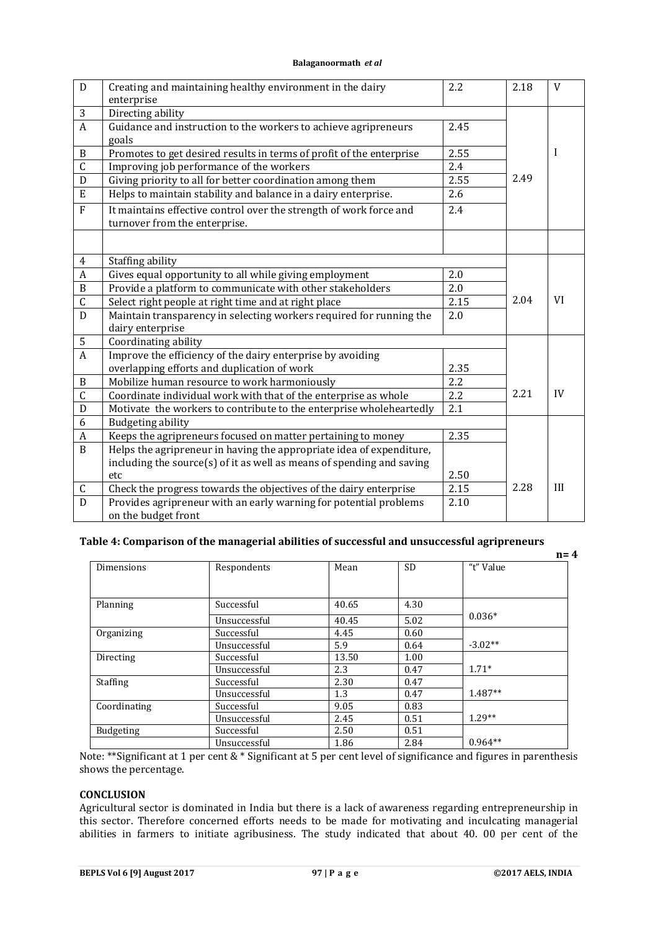| $\mathbf D$      | Creating and maintaining healthy environment in the dairy<br>enterprise                             | 2.2  | 2.18 | V         |
|------------------|-----------------------------------------------------------------------------------------------------|------|------|-----------|
| $\mathbf{3}$     | Directing ability                                                                                   |      |      |           |
| $\overline{A}$   | Guidance and instruction to the workers to achieve agripreneurs<br>goals                            | 2.45 |      |           |
| $\, {\bf B}$     | Promotes to get desired results in terms of profit of the enterprise                                | 2.55 |      | I         |
| $\overline{C}$   | Improving job performance of the workers                                                            | 2.4  |      |           |
| D                | Giving priority to all for better coordination among them                                           | 2.55 | 2.49 |           |
| E                | Helps to maintain stability and balance in a dairy enterprise.                                      | 2.6  |      |           |
| $\rm F$          | It maintains effective control over the strength of work force and<br>turnover from the enterprise. | 2.4  |      |           |
|                  |                                                                                                     |      |      |           |
| $\overline{4}$   | Staffing ability                                                                                    |      |      |           |
| $\boldsymbol{A}$ | Gives equal opportunity to all while giving employment                                              | 2.0  |      |           |
| $\, {\bf B}$     | Provide a platform to communicate with other stakeholders                                           | 2.0  |      |           |
| $\overline{C}$   | Select right people at right time and at right place                                                | 2.15 | 2.04 | <b>VI</b> |
| $\overline{D}$   | Maintain transparency in selecting workers required for running the                                 | 2.0  |      |           |
|                  | dairy enterprise                                                                                    |      |      |           |
| 5                | Coordinating ability                                                                                |      |      |           |
| $\overline{A}$   | Improve the efficiency of the dairy enterprise by avoiding                                          |      |      |           |
|                  | overlapping efforts and duplication of work                                                         | 2.35 |      |           |
| $\, {\bf B}$     | Mobilize human resource to work harmoniously                                                        | 2.2  |      |           |
| $\overline{C}$   | Coordinate individual work with that of the enterprise as whole                                     | 2.2  | 2.21 | IV        |
| $\mathbf D$      | Motivate the workers to contribute to the enterprise wholeheartedly                                 | 2.1  |      |           |
| 6                | <b>Budgeting ability</b>                                                                            |      |      |           |
| $\boldsymbol{A}$ | Keeps the agripreneurs focused on matter pertaining to money                                        | 2.35 |      |           |
| $\mathbf{B}$     | Helps the agripreneur in having the appropriate idea of expenditure,                                |      |      |           |
|                  | including the source(s) of it as well as means of spending and saving                               |      |      |           |
|                  | etc                                                                                                 | 2.50 |      |           |
| C                | Check the progress towards the objectives of the dairy enterprise                                   | 2.15 | 2.28 | III       |
| $\overline{D}$   | Provides agripreneur with an early warning for potential problems<br>on the budget front            | 2.10 |      |           |

# **Table 4: Comparison of the managerial abilities of successful and unsuccessful agripreneurs**

|                  |              |       |           |           | $n = 4$ |
|------------------|--------------|-------|-----------|-----------|---------|
| Dimensions       | Respondents  | Mean  | <b>SD</b> | "t" Value |         |
|                  |              |       |           |           |         |
|                  |              |       |           |           |         |
| Planning         | Successful   | 40.65 | 4.30      |           |         |
|                  | Unsuccessful | 40.45 | 5.02      | $0.036*$  |         |
| Organizing       | Successful   | 4.45  | 0.60      |           |         |
|                  | Unsuccessful | 5.9   | 0.64      | $-3.02**$ |         |
| Directing        | Successful   | 13.50 | 1.00      |           |         |
|                  | Unsuccessful | 2.3   | 0.47      | $1.71*$   |         |
| <b>Staffing</b>  | Successful   | 2.30  | 0.47      |           |         |
|                  | Unsuccessful | 1.3   | 0.47      | 1.487**   |         |
| Coordinating     | Successful   | 9.05  | 0.83      |           |         |
|                  | Unsuccessful | 2.45  | 0.51      | $1.29**$  |         |
| <b>Budgeting</b> | Successful   | 2.50  | 0.51      |           |         |
|                  | Unsuccessful | 1.86  | 2.84      | $0.964**$ |         |

Note: \*\*Significant at 1 per cent & \* Significant at 5 per cent level of significance and figures in parenthesis shows the percentage.

# **CONCLUSION**

Agricultural sector is dominated in India but there is a lack of awareness regarding entrepreneurship in this sector. Therefore concerned efforts needs to be made for motivating and inculcating managerial abilities in farmers to initiate agribusiness. The study indicated that about 40. 00 per cent of the